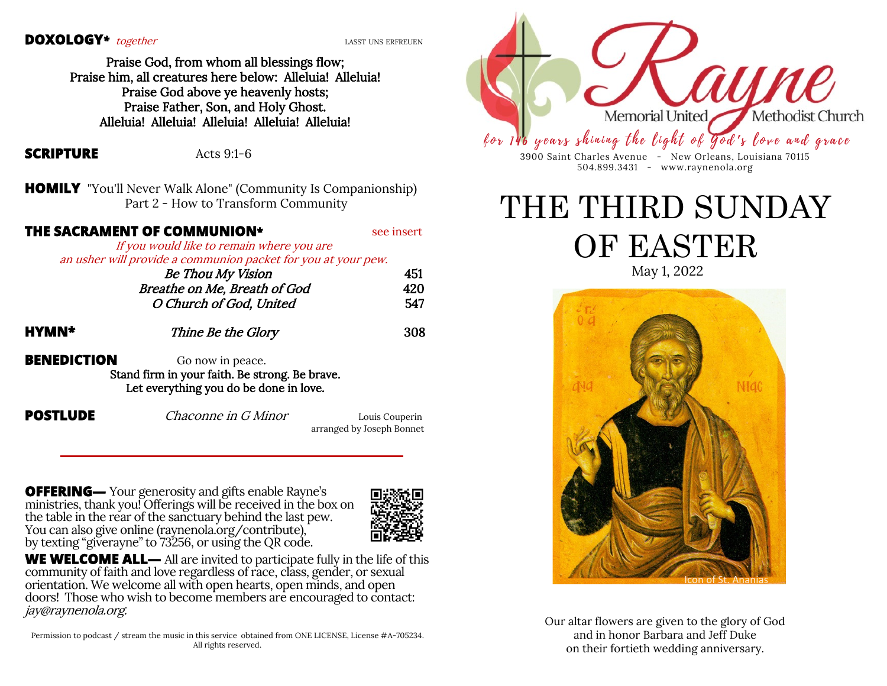#### **DOXOLOGY**<sup>\*</sup> together *LASST UNS ERFREUEN*

Praise God, from whom all blessings flow; Praise him, all creatures here below: Alleluia! Alleluia! Praise God above ye heavenly hosts; Praise Father, Son, and Holy Ghost. Alleluia! Alleluia! Alleluia! Alleluia! Alleluia!

### **SCRIPTURE** Acts 9:1-6

**HOMILY** "You'll Never Walk Alone" (Community Is Companionship) Part 2 - How to Transform Community

### **THE SACRAMENT OF COMMUNION\*** see insert

If you would like to remain where you are an usher will provide a communion packet for you at your pew.

|       | <b>Be Thou My Vision</b>     | 451 |
|-------|------------------------------|-----|
|       | Breathe on Me, Breath of God | 420 |
|       | O Church of God, United      | 547 |
| HYMN* | Thine Be the Glory           | 308 |

**BENEDICTION** Go now in peace. Stand firm in your faith. Be strong. Be brave. Let everything you do be done in love.

**POSTLUDE** Chaconne in G Minor Louis Couperin

arranged by Joseph Bonnet

**OFFERING—** Your generosity and gifts enable Rayne's ministries, thank you! Offerings will be received in the box on the table in the rear of the sanctuary behind the last pew. You can also give online (raynenola.org/contribute), by texting "giverayne" to 73256, or using the QR code.



 **WE WELCOME ALL—** All are invited to participate fully in the life of this community of faith and love regardless of race, class, gender, or sexual orientation. We welcome all with open hearts, open minds, and open doors! Those who wish to become members are encouraged to contact: jay@raynenola.org.

Permission to podcast / stream the music in this service obtained from ONE LICENSE, License #A-705234. All rights reserved.



3900 Saint Charles Avenue - New Orleans, Louisiana 70115 504.899.3431 - www.raynenola.org

THE THIRD SUNDAY OF EASTER

May 1, 2022



Our altar flowers are given to the glory of God and in honor Barbara and Jeff Duke on their fortieth wedding anniversary.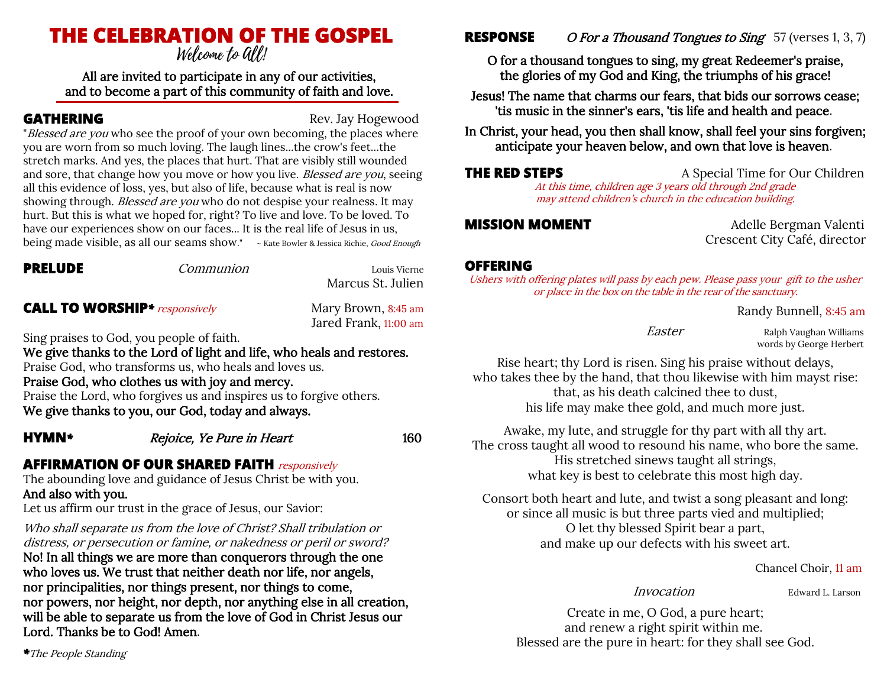# **THE CELEBRATION OF THE GOSPEL**

All are invited to participate in any of our activities, and to become a part of this community of faith and love.

**GATHERING** Rev. Jay Hogewood

"Blessed are you who see the proof of your own becoming, the places where you are worn from so much loving. The laugh lines...the crow's feet...the stretch marks. And yes, the places that hurt. That are visibly still wounded and sore, that change how you move or how you live. Blessed are you, seeing all this evidence of loss, yes, but also of life, because what is real is now showing through. Blessed are you who do not despise your realness. It may hurt. But this is what we hoped for, right? To live and love. To be loved. To have our experiences show on our faces... It is the real life of Jesus in us, being made visible, as all our seams show." ~ Kate Bowler & Jessica Richie, Good Enough

| <b>PRELUDE</b>                        | Communion                                                             | Louis Vierne<br>Marcus St. Julien            |
|---------------------------------------|-----------------------------------------------------------------------|----------------------------------------------|
| <b>CALL TO WORSHIP</b> * responsively |                                                                       | Mary Brown, 8:45 am<br>Jared Frank, 11:00 am |
|                                       | Sing praises to God, you people of faith.                             |                                              |
|                                       | We give thanks to the Lord of light and life, who heals and restores. |                                              |
|                                       | Praise God, who transforms us, who heals and loves us.                |                                              |
|                                       | Praise God, who clothes us with joy and mercy.                        |                                              |
|                                       | Praise the Lord, who forgives us and inspires us to forgive others.   |                                              |
|                                       | We give thanks to you, our God, today and always.                     |                                              |
| <b>HYMN*</b>                          | Rejoice, Ye Pure in Heart                                             | 160                                          |

## **AFFIRMATION OF OUR SHARED FAITH** responsively

The abounding love and guidance of Jesus Christ be with you. And also with you.

Let us affirm our trust in the grace of Jesus, our Savior:

Who shall separate us from the love of Christ? Shall tribulation or distress, or persecution or famine, or nakedness or peril or sword? No! In all things we are more than conquerors through the one who loves us. We trust that neither death nor life, nor angels, nor principalities, nor things present, nor things to come, nor powers, nor height, nor depth, nor anything else in all creation, will be able to separate us from the love of God in Christ Jesus our Lord. Thanks be to God! Amen.

**RESPONSE** O For a Thousand Tongues to Sing 57 (verses 1, 3, 7)

O for a thousand tongues to sing, my great Redeemer's praise, the glories of my God and King, the triumphs of his grace!

Jesus! The name that charms our fears, that bids our sorrows cease; 'tis music in the sinner's ears, 'tis life and health and peace.

In Christ, your head, you then shall know, shall feel your sins forgiven; anticipate your heaven below, and own that love is heaven.

### **THE RED STEPS** A Special Time for Our Children

At this time, children age 3 years old through 2nd grade may attend children's church in the education building.

**MISSION MOMENT** Adelle Bergman Valenti Crescent City Café, director

### **OFFERING**

Ushers with offering plates will pass by each pew. Please pass your gift to the usher or place in the box on the table in the rear of the sanctuary.

Randy Bunnell, 8:45 am

Easter Ralph Vaughan Williams words by George Herbert

Rise heart; thy Lord is risen. Sing his praise without delays, who takes thee by the hand, that thou likewise with him mayst rise: that, as his death calcined thee to dust, his life may make thee gold, and much more just.

Awake, my lute, and struggle for thy part with all thy art. The cross taught all wood to resound his name, who bore the same. His stretched sinews taught all strings, what key is best to celebrate this most high day.

Consort both heart and lute, and twist a song pleasant and long: or since all music is but three parts vied and multiplied; O let thy blessed Spirit bear a part, and make up our defects with his sweet art.

Chancel Choir, 11 am

Invocation Edward L. Larson

Create in me, O God, a pure heart; and renew a right spirit within me. Blessed are the pure in heart: for they shall see God.

*\**The People Standing